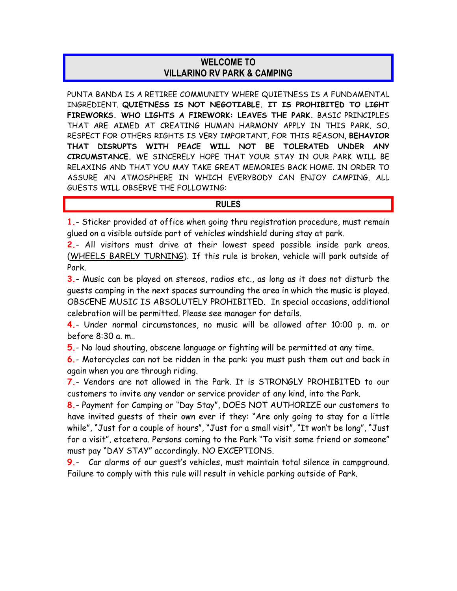## **WELCOME TO VILLARINO RV PARK & CAMPING**

PUNTA BANDA IS A RETIREE COMMUNITY WHERE QUIETNESS IS A FUNDAMENTAL INGREDIENT. **QUIETNESS IS NOT NEGOTIABLE. IT IS PROHIBITED TO LIGHT FIREWORKS. WHO LIGHTS A FIREWORK: LEAVES THE PARK.** BASIC PRINCIPLES THAT ARE AIMED AT CREATING HUMAN HARMONY APPLY IN THIS PARK, SO, RESPECT FOR OTHERS RIGHTS IS VERY IMPORTANT, FOR THIS REASON, **BEHAVIOR THAT DISRUPTS WITH PEACE WILL NOT BE TOLERATED UNDER ANY CIRCUMSTANCE.** WE SINCERELY HOPE THAT YOUR STAY IN OUR PARK WILL BE RELAXING AND THAT YOU MAY TAKE GREAT MEMORIES BACK HOME. IN ORDER TO ASSURE AN ATMOSPHERE IN WHICH EVERYBODY CAN ENJOY CAMPING, ALL GUESTS WILL OBSERVE THE FOLLOWING:

## **RULES**

**1.**- Sticker provided at office when going thru registration procedure, must remain glued on a visible outside part of vehicles windshield during stay at park.

**2.**- All visitors must drive at their lowest speed possible inside park areas. (WHEELS BARELY TURNING). If this rule is broken, vehicle will park outside of Park.

**3.**- Music can be played on stereos, radios etc., as long as it does not disturb the guests camping in the next spaces surrounding the area in which the music is played. OBSCENE MUSIC IS ABSOLUTELY PROHIBITED. In special occasions, additional celebration will be permitted. Please see manager for details.

**4.**- Under normal circumstances, no music will be allowed after 10:00 p. m. or before 8:30 a. m..

**5.**- No loud shouting, obscene language or fighting will be permitted at any time.

**6.**- Motorcycles can not be ridden in the park: you must push them out and back in again when you are through riding.

**7.**- Vendors are not allowed in the Park. It is STRONGLY PROHIBITED to our customers to invite any vendor or service provider of any kind, into the Park.

**8.**- Payment for Camping or "Day Stay", DOES NOT AUTHORIZE our customers to have invited guests of their own ever if they: "Are only going to stay for a little while", "Just for a couple of hours", "Just for a small visit", "It won't be long", "Just for a visit", etcetera. Persons coming to the Park "To visit some friend or someone" must pay "DAY STAY" accordingly. NO EXCEPTIONS.

**9.**- Car alarms of our guest's vehicles, must maintain total silence in campground. Failure to comply with this rule will result in vehicle parking outside of Park.